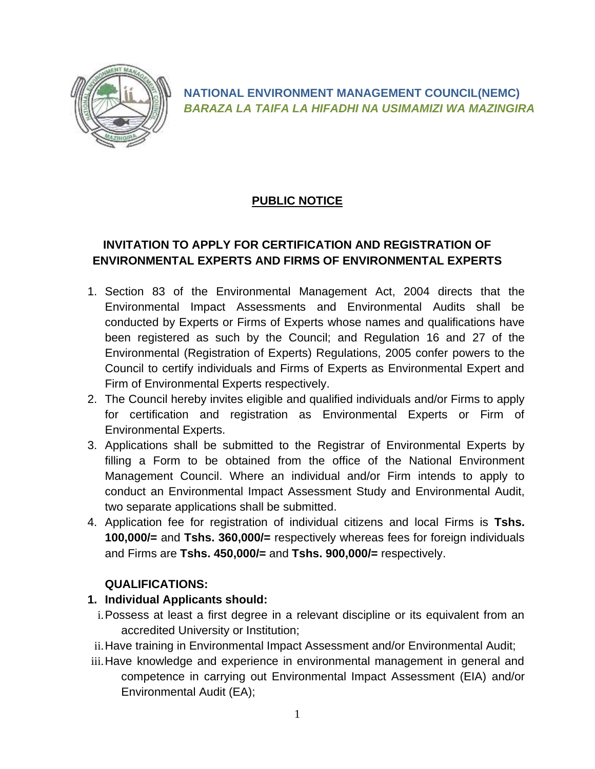

**NATIONAL ENVIRONMENT MANAGEMENT COUNCIL(NEMC)** *BARAZA LA TAIFA LA HIFADHI NA USIMAMIZI WA MAZINGIRA*

# **PUBLIC NOTICE**

## **INVITATION TO APPLY FOR CERTIFICATION AND REGISTRATION OF ENVIRONMENTAL EXPERTS AND FIRMS OF ENVIRONMENTAL EXPERTS**

- 1. Section 83 of the Environmental Management Act, 2004 directs that the Environmental Impact Assessments and Environmental Audits shall be conducted by Experts or Firms of Experts whose names and qualifications have been registered as such by the Council; and Regulation 16 and 27 of the Environmental (Registration of Experts) Regulations, 2005 confer powers to the Council to certify individuals and Firms of Experts as Environmental Expert and Firm of Environmental Experts respectively.
- 2. The Council hereby invites eligible and qualified individuals and/or Firms to apply for certification and registration as Environmental Experts or Firm of Environmental Experts.
- 3. Applications shall be submitted to the Registrar of Environmental Experts by filling a Form to be obtained from the office of the National Environment Management Council. Where an individual and/or Firm intends to apply to conduct an Environmental Impact Assessment Study and Environmental Audit, two separate applications shall be submitted.
- 4. Application fee for registration of individual citizens and local Firms is **Tshs. 100,000/=** and **Tshs. 360,000/=** respectively whereas fees for foreign individuals and Firms are **Tshs. 450,000/=** and **Tshs. 900,000/=** respectively.

#### **QUALIFICATIONS:**

- **1. Individual Applicants should:**
	- i.Possess at least a first degree in a relevant discipline or its equivalent from an accredited University or Institution;
- ii.Have training in Environmental Impact Assessment and/or Environmental Audit;
- iii.Have knowledge and experience in environmental management in general and competence in carrying out Environmental Impact Assessment (EIA) and/or Environmental Audit (EA);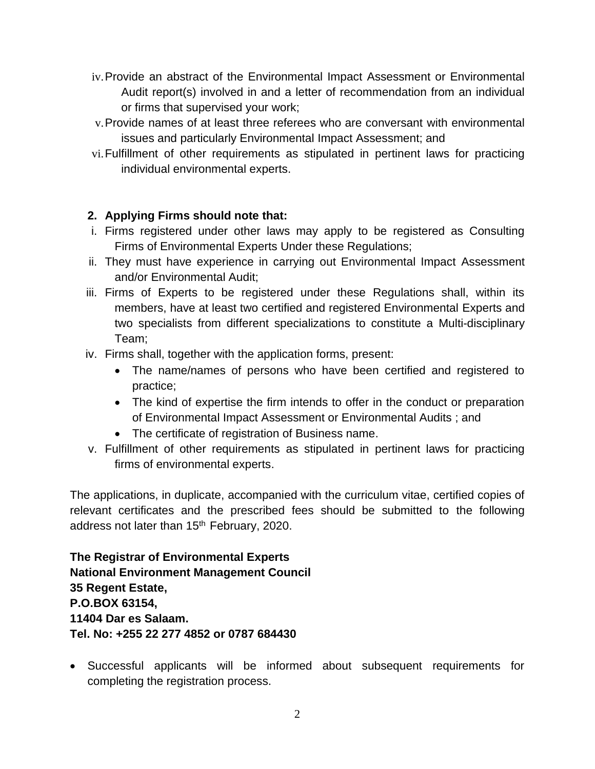- iv.Provide an abstract of the Environmental Impact Assessment or Environmental Audit report(s) involved in and a letter of recommendation from an individual or firms that supervised your work;
- v.Provide names of at least three referees who are conversant with environmental issues and particularly Environmental Impact Assessment; and
- vi.Fulfillment of other requirements as stipulated in pertinent laws for practicing individual environmental experts.

### **2. Applying Firms should note that:**

- i. Firms registered under other laws may apply to be registered as Consulting Firms of Environmental Experts Under these Regulations;
- ii. They must have experience in carrying out Environmental Impact Assessment and/or Environmental Audit;
- iii. Firms of Experts to be registered under these Regulations shall, within its members, have at least two certified and registered Environmental Experts and two specialists from different specializations to constitute a Multi-disciplinary Team;
- iv. Firms shall, together with the application forms, present:
	- The name/names of persons who have been certified and registered to practice;
	- The kind of expertise the firm intends to offer in the conduct or preparation of Environmental Impact Assessment or Environmental Audits ; and
	- The certificate of registration of Business name.
- v. Fulfillment of other requirements as stipulated in pertinent laws for practicing firms of environmental experts.

The applications, in duplicate, accompanied with the curriculum vitae, certified copies of relevant certificates and the prescribed fees should be submitted to the following address not later than 15<sup>th</sup> February, 2020.

**The Registrar of Environmental Experts National Environment Management Council 35 Regent Estate, P.O.BOX 63154, 11404 Dar es Salaam. Tel. No: +255 22 277 4852 or 0787 684430**

• Successful applicants will be informed about subsequent requirements for completing the registration process.